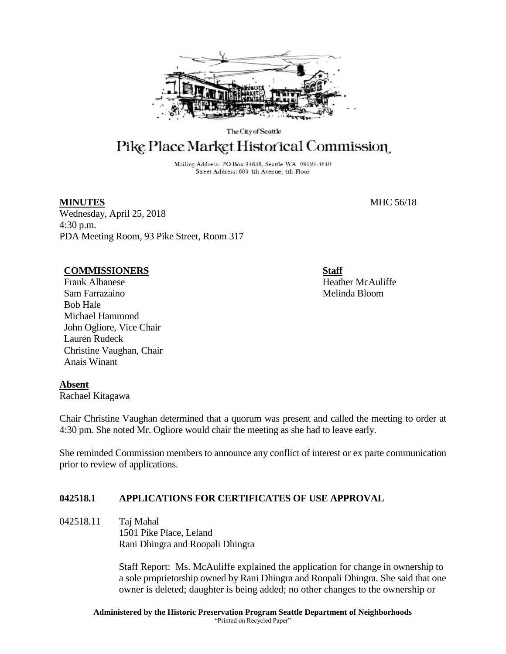

The City of Seattle

# Pike Place Market Historical Commission

Mailing Address: PO Box 94649, Seattle WA 98124-4649 Street Address: 600 4th Avenue, 4th Floor

## **MINUTES** MHC 56/18

Wednesday, April 25, 2018 4:30 p.m. PDA Meeting Room, 93 Pike Street, Room 317

#### **COMMISSIONERS**

Frank Albanese Sam Farrazaino Bob Hale Michael Hammond John Ogliore, Vice Chair Lauren Rudeck Christine Vaughan, Chair Anais Winant

**Staff**

Heather McAuliffe Melinda Bloom

# **Absent**

Rachael Kitagawa

Chair Christine Vaughan determined that a quorum was present and called the meeting to order at 4:30 pm. She noted Mr. Ogliore would chair the meeting as she had to leave early.

She reminded Commission members to announce any conflict of interest or ex parte communication prior to review of applications.

# **042518.1 APPLICATIONS FOR CERTIFICATES OF USE APPROVAL**

042518.11 Taj Mahal 1501 Pike Place, Leland Rani Dhingra and Roopali Dhingra

> Staff Report: Ms. McAuliffe explained the application for change in ownership to a sole proprietorship owned by Rani Dhingra and Roopali Dhingra. She said that one owner is deleted; daughter is being added; no other changes to the ownership or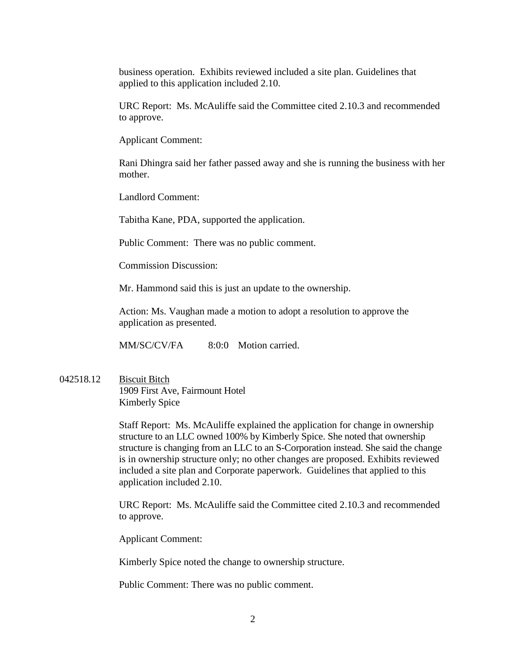business operation. Exhibits reviewed included a site plan. Guidelines that applied to this application included 2.10.

URC Report: Ms. McAuliffe said the Committee cited 2.10.3 and recommended to approve.

Applicant Comment:

Rani Dhingra said her father passed away and she is running the business with her mother.

Landlord Comment:

Tabitha Kane, PDA, supported the application.

Public Comment: There was no public comment.

Commission Discussion:

Mr. Hammond said this is just an update to the ownership.

Action: Ms. Vaughan made a motion to adopt a resolution to approve the application as presented.

MM/SC/CV/FA 8:0:0 Motion carried.

042518.12 Biscuit Bitch 1909 First Ave, Fairmount Hotel Kimberly Spice

> Staff Report: Ms. McAuliffe explained the application for change in ownership structure to an LLC owned 100% by Kimberly Spice. She noted that ownership structure is changing from an LLC to an S-Corporation instead. She said the change is in ownership structure only; no other changes are proposed. Exhibits reviewed included a site plan and Corporate paperwork. Guidelines that applied to this application included 2.10.

> URC Report: Ms. McAuliffe said the Committee cited 2.10.3 and recommended to approve.

Applicant Comment:

Kimberly Spice noted the change to ownership structure.

Public Comment: There was no public comment.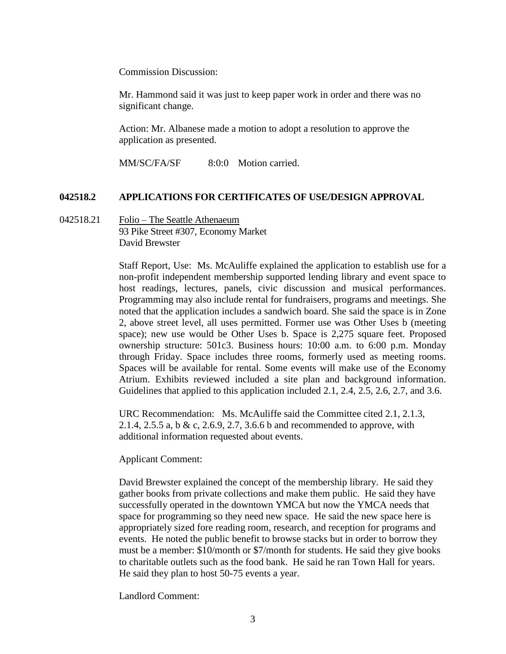Commission Discussion:

Mr. Hammond said it was just to keep paper work in order and there was no significant change.

Action: Mr. Albanese made a motion to adopt a resolution to approve the application as presented.

MM/SC/FA/SF 8:0:0 Motion carried.

## **042518.2 APPLICATIONS FOR CERTIFICATES OF USE/DESIGN APPROVAL**

042518.21 Folio – The Seattle Athenaeum 93 Pike Street #307, Economy Market David Brewster

> Staff Report, Use: Ms. McAuliffe explained the application to establish use for a non-profit independent membership supported lending library and event space to host readings, lectures, panels, civic discussion and musical performances. Programming may also include rental for fundraisers, programs and meetings. She noted that the application includes a sandwich board. She said the space is in Zone 2, above street level, all uses permitted. Former use was Other Uses b (meeting space); new use would be Other Uses b. Space is 2,275 square feet. Proposed ownership structure: 501c3. Business hours: 10:00 a.m. to 6:00 p.m. Monday through Friday. Space includes three rooms, formerly used as meeting rooms. Spaces will be available for rental. Some events will make use of the Economy Atrium. Exhibits reviewed included a site plan and background information. Guidelines that applied to this application included 2.1, 2.4, 2.5, 2.6, 2.7, and 3.6.

URC Recommendation: Ms. McAuliffe said the Committee cited 2.1, 2.1.3, 2.1.4, 2.5.5 a, b & c, 2.6.9, 2.7, 3.6.6 b and recommended to approve, with additional information requested about events.

Applicant Comment:

David Brewster explained the concept of the membership library. He said they gather books from private collections and make them public. He said they have successfully operated in the downtown YMCA but now the YMCA needs that space for programming so they need new space. He said the new space here is appropriately sized fore reading room, research, and reception for programs and events. He noted the public benefit to browse stacks but in order to borrow they must be a member: \$10/month or \$7/month for students. He said they give books to charitable outlets such as the food bank. He said he ran Town Hall for years. He said they plan to host 50-75 events a year.

Landlord Comment: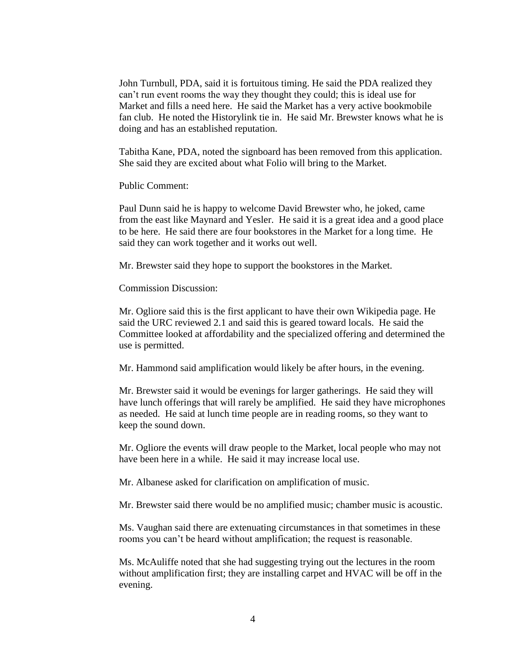John Turnbull, PDA, said it is fortuitous timing. He said the PDA realized they can't run event rooms the way they thought they could; this is ideal use for Market and fills a need here. He said the Market has a very active bookmobile fan club. He noted the Historylink tie in. He said Mr. Brewster knows what he is doing and has an established reputation.

Tabitha Kane, PDA, noted the signboard has been removed from this application. She said they are excited about what Folio will bring to the Market.

Public Comment:

Paul Dunn said he is happy to welcome David Brewster who, he joked, came from the east like Maynard and Yesler. He said it is a great idea and a good place to be here. He said there are four bookstores in the Market for a long time. He said they can work together and it works out well.

Mr. Brewster said they hope to support the bookstores in the Market.

Commission Discussion:

Mr. Ogliore said this is the first applicant to have their own Wikipedia page. He said the URC reviewed 2.1 and said this is geared toward locals. He said the Committee looked at affordability and the specialized offering and determined the use is permitted.

Mr. Hammond said amplification would likely be after hours, in the evening.

Mr. Brewster said it would be evenings for larger gatherings. He said they will have lunch offerings that will rarely be amplified. He said they have microphones as needed. He said at lunch time people are in reading rooms, so they want to keep the sound down.

Mr. Ogliore the events will draw people to the Market, local people who may not have been here in a while. He said it may increase local use.

Mr. Albanese asked for clarification on amplification of music.

Mr. Brewster said there would be no amplified music; chamber music is acoustic.

Ms. Vaughan said there are extenuating circumstances in that sometimes in these rooms you can't be heard without amplification; the request is reasonable.

Ms. McAuliffe noted that she had suggesting trying out the lectures in the room without amplification first; they are installing carpet and HVAC will be off in the evening.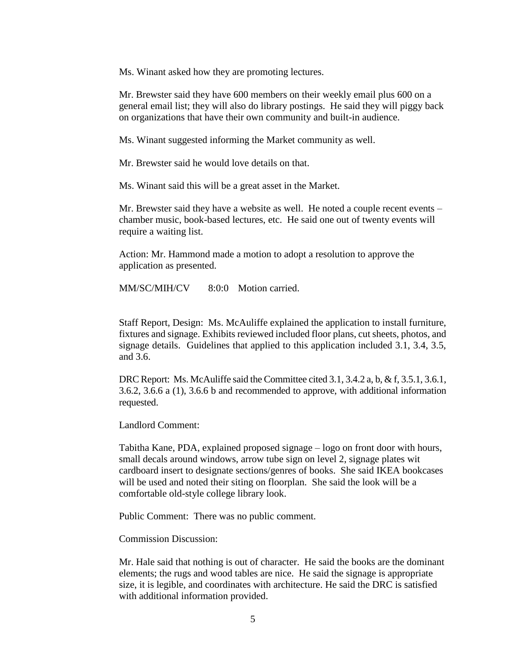Ms. Winant asked how they are promoting lectures.

Mr. Brewster said they have 600 members on their weekly email plus 600 on a general email list; they will also do library postings. He said they will piggy back on organizations that have their own community and built-in audience.

Ms. Winant suggested informing the Market community as well.

Mr. Brewster said he would love details on that.

Ms. Winant said this will be a great asset in the Market.

Mr. Brewster said they have a website as well. He noted a couple recent events – chamber music, book-based lectures, etc. He said one out of twenty events will require a waiting list.

Action: Mr. Hammond made a motion to adopt a resolution to approve the application as presented.

MM/SC/MIH/CV 8:0:0 Motion carried.

Staff Report, Design: Ms. McAuliffe explained the application to install furniture, fixtures and signage. Exhibits reviewed included floor plans, cut sheets, photos, and signage details. Guidelines that applied to this application included 3.1, 3.4, 3.5, and 3.6.

DRC Report: Ms. McAuliffe said the Committee cited 3.1, 3.4.2 a, b, & f, 3.5.1, 3.6.1, 3.6.2, 3.6.6 a (1), 3.6.6 b and recommended to approve, with additional information requested.

Landlord Comment:

Tabitha Kane, PDA, explained proposed signage – logo on front door with hours, small decals around windows, arrow tube sign on level 2, signage plates wit cardboard insert to designate sections/genres of books. She said IKEA bookcases will be used and noted their siting on floorplan. She said the look will be a comfortable old-style college library look.

Public Comment: There was no public comment.

Commission Discussion:

Mr. Hale said that nothing is out of character. He said the books are the dominant elements; the rugs and wood tables are nice. He said the signage is appropriate size, it is legible, and coordinates with architecture. He said the DRC is satisfied with additional information provided.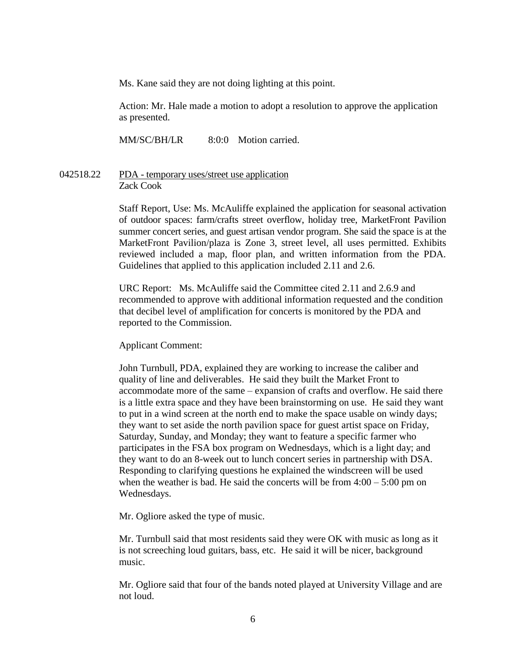Ms. Kane said they are not doing lighting at this point.

Action: Mr. Hale made a motion to adopt a resolution to approve the application as presented.

MM/SC/BH/LR 8:0:0 Motion carried.

## 042518.22 PDA - temporary uses/street use application Zack Cook

Staff Report, Use: Ms. McAuliffe explained the application for seasonal activation of outdoor spaces: farm/crafts street overflow, holiday tree, MarketFront Pavilion summer concert series, and guest artisan vendor program. She said the space is at the MarketFront Pavilion/plaza is Zone 3, street level, all uses permitted. Exhibits reviewed included a map, floor plan, and written information from the PDA. Guidelines that applied to this application included 2.11 and 2.6.

URC Report: Ms. McAuliffe said the Committee cited 2.11 and 2.6.9 and recommended to approve with additional information requested and the condition that decibel level of amplification for concerts is monitored by the PDA and reported to the Commission.

#### Applicant Comment:

John Turnbull, PDA, explained they are working to increase the caliber and quality of line and deliverables. He said they built the Market Front to accommodate more of the same – expansion of crafts and overflow. He said there is a little extra space and they have been brainstorming on use. He said they want to put in a wind screen at the north end to make the space usable on windy days; they want to set aside the north pavilion space for guest artist space on Friday, Saturday, Sunday, and Monday; they want to feature a specific farmer who participates in the FSA box program on Wednesdays, which is a light day; and they want to do an 8-week out to lunch concert series in partnership with DSA. Responding to clarifying questions he explained the windscreen will be used when the weather is bad. He said the concerts will be from  $4:00 - 5:00$  pm on Wednesdays.

Mr. Ogliore asked the type of music.

Mr. Turnbull said that most residents said they were OK with music as long as it is not screeching loud guitars, bass, etc. He said it will be nicer, background music.

Mr. Ogliore said that four of the bands noted played at University Village and are not loud.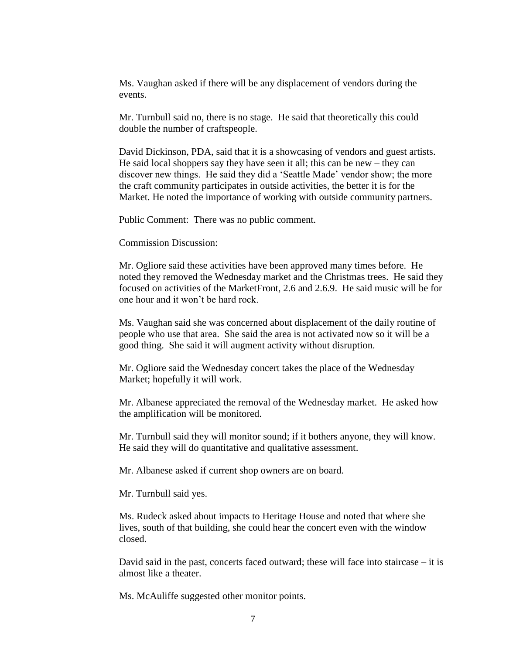Ms. Vaughan asked if there will be any displacement of vendors during the events.

Mr. Turnbull said no, there is no stage. He said that theoretically this could double the number of craftspeople.

David Dickinson, PDA, said that it is a showcasing of vendors and guest artists. He said local shoppers say they have seen it all; this can be new – they can discover new things. He said they did a 'Seattle Made' vendor show; the more the craft community participates in outside activities, the better it is for the Market. He noted the importance of working with outside community partners.

Public Comment: There was no public comment.

Commission Discussion:

Mr. Ogliore said these activities have been approved many times before. He noted they removed the Wednesday market and the Christmas trees. He said they focused on activities of the MarketFront, 2.6 and 2.6.9. He said music will be for one hour and it won't be hard rock.

Ms. Vaughan said she was concerned about displacement of the daily routine of people who use that area. She said the area is not activated now so it will be a good thing. She said it will augment activity without disruption.

Mr. Ogliore said the Wednesday concert takes the place of the Wednesday Market; hopefully it will work.

Mr. Albanese appreciated the removal of the Wednesday market. He asked how the amplification will be monitored.

Mr. Turnbull said they will monitor sound; if it bothers anyone, they will know. He said they will do quantitative and qualitative assessment.

Mr. Albanese asked if current shop owners are on board.

Mr. Turnbull said yes.

Ms. Rudeck asked about impacts to Heritage House and noted that where she lives, south of that building, she could hear the concert even with the window closed.

David said in the past, concerts faced outward; these will face into staircase – it is almost like a theater.

Ms. McAuliffe suggested other monitor points.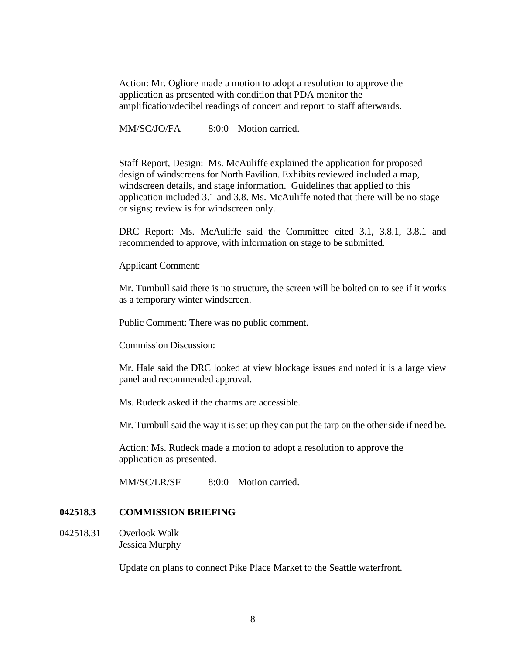Action: Mr. Ogliore made a motion to adopt a resolution to approve the application as presented with condition that PDA monitor the amplification/decibel readings of concert and report to staff afterwards.

MM/SC/JO/FA 8:0:0 Motion carried.

Staff Report, Design: Ms. McAuliffe explained the application for proposed design of windscreens for North Pavilion. Exhibits reviewed included a map, windscreen details, and stage information. Guidelines that applied to this application included 3.1 and 3.8. Ms. McAuliffe noted that there will be no stage or signs; review is for windscreen only.

DRC Report: Ms. McAuliffe said the Committee cited 3.1, 3.8.1, 3.8.1 and recommended to approve, with information on stage to be submitted.

Applicant Comment:

Mr. Turnbull said there is no structure, the screen will be bolted on to see if it works as a temporary winter windscreen.

Public Comment: There was no public comment.

Commission Discussion:

Mr. Hale said the DRC looked at view blockage issues and noted it is a large view panel and recommended approval.

Ms. Rudeck asked if the charms are accessible.

Mr. Turnbull said the way it is set up they can put the tarp on the other side if need be.

Action: Ms. Rudeck made a motion to adopt a resolution to approve the application as presented.

MM/SC/LR/SF 8:0:0 Motion carried.

#### **042518.3 COMMISSION BRIEFING**

042518.31 Overlook Walk Jessica Murphy

Update on plans to connect Pike Place Market to the Seattle waterfront.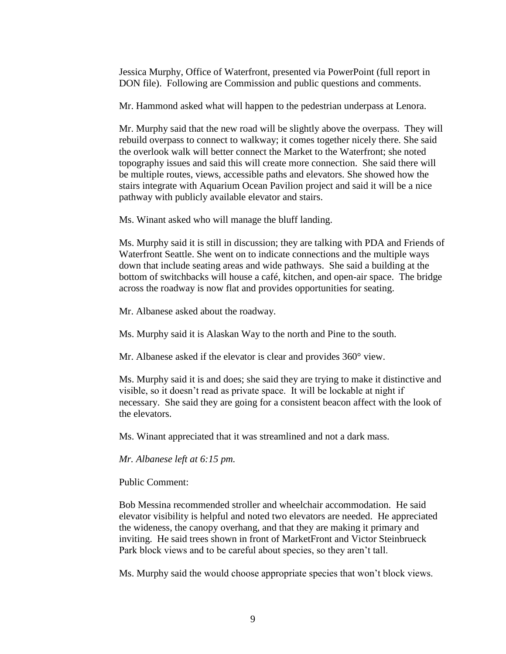Jessica Murphy, Office of Waterfront, presented via PowerPoint (full report in DON file). Following are Commission and public questions and comments.

Mr. Hammond asked what will happen to the pedestrian underpass at Lenora.

Mr. Murphy said that the new road will be slightly above the overpass. They will rebuild overpass to connect to walkway; it comes together nicely there. She said the overlook walk will better connect the Market to the Waterfront; she noted topography issues and said this will create more connection. She said there will be multiple routes, views, accessible paths and elevators. She showed how the stairs integrate with Aquarium Ocean Pavilion project and said it will be a nice pathway with publicly available elevator and stairs.

Ms. Winant asked who will manage the bluff landing.

Ms. Murphy said it is still in discussion; they are talking with PDA and Friends of Waterfront Seattle. She went on to indicate connections and the multiple ways down that include seating areas and wide pathways. She said a building at the bottom of switchbacks will house a café, kitchen, and open-air space. The bridge across the roadway is now flat and provides opportunities for seating.

Mr. Albanese asked about the roadway.

Ms. Murphy said it is Alaskan Way to the north and Pine to the south.

Mr. Albanese asked if the elevator is clear and provides 360° view.

Ms. Murphy said it is and does; she said they are trying to make it distinctive and visible, so it doesn't read as private space. It will be lockable at night if necessary. She said they are going for a consistent beacon affect with the look of the elevators.

Ms. Winant appreciated that it was streamlined and not a dark mass.

*Mr. Albanese left at 6:15 pm.*

Public Comment:

Bob Messina recommended stroller and wheelchair accommodation. He said elevator visibility is helpful and noted two elevators are needed. He appreciated the wideness, the canopy overhang, and that they are making it primary and inviting. He said trees shown in front of MarketFront and Victor Steinbrueck Park block views and to be careful about species, so they aren't tall.

Ms. Murphy said the would choose appropriate species that won't block views.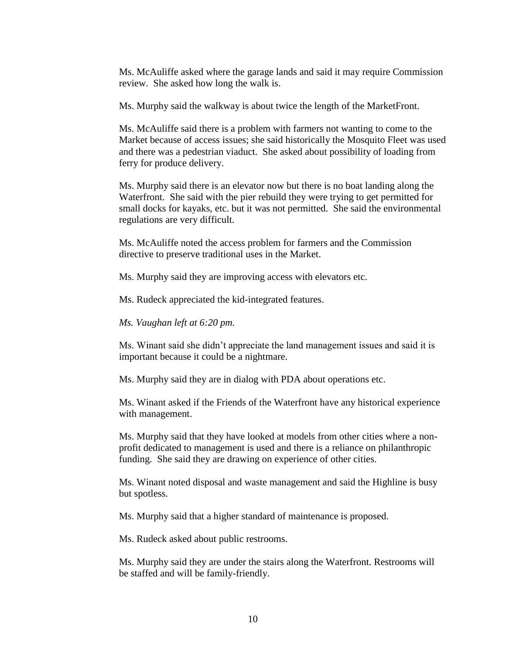Ms. McAuliffe asked where the garage lands and said it may require Commission review. She asked how long the walk is.

Ms. Murphy said the walkway is about twice the length of the MarketFront.

Ms. McAuliffe said there is a problem with farmers not wanting to come to the Market because of access issues; she said historically the Mosquito Fleet was used and there was a pedestrian viaduct. She asked about possibility of loading from ferry for produce delivery.

Ms. Murphy said there is an elevator now but there is no boat landing along the Waterfront. She said with the pier rebuild they were trying to get permitted for small docks for kayaks, etc. but it was not permitted. She said the environmental regulations are very difficult.

Ms. McAuliffe noted the access problem for farmers and the Commission directive to preserve traditional uses in the Market.

Ms. Murphy said they are improving access with elevators etc.

Ms. Rudeck appreciated the kid-integrated features.

*Ms. Vaughan left at 6:20 pm.*

Ms. Winant said she didn't appreciate the land management issues and said it is important because it could be a nightmare.

Ms. Murphy said they are in dialog with PDA about operations etc.

Ms. Winant asked if the Friends of the Waterfront have any historical experience with management.

Ms. Murphy said that they have looked at models from other cities where a nonprofit dedicated to management is used and there is a reliance on philanthropic funding. She said they are drawing on experience of other cities.

Ms. Winant noted disposal and waste management and said the Highline is busy but spotless.

Ms. Murphy said that a higher standard of maintenance is proposed.

Ms. Rudeck asked about public restrooms.

Ms. Murphy said they are under the stairs along the Waterfront. Restrooms will be staffed and will be family-friendly.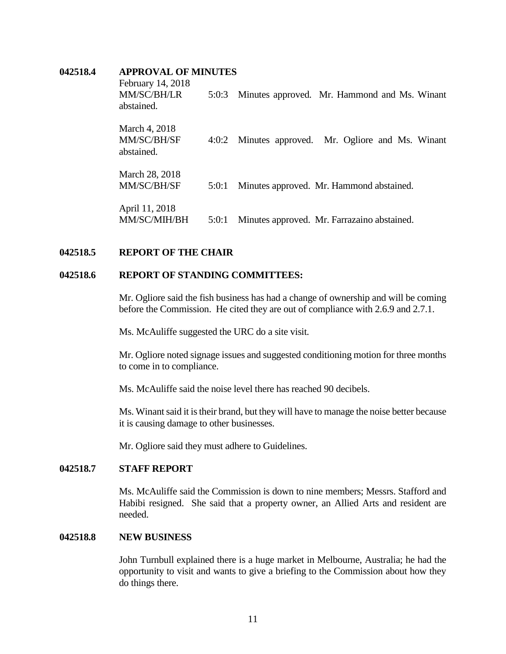#### **042518.4 APPROVAL OF MINUTES**

| February 14, 2018<br>MM/SC/BH/LR<br>abstained. | 5:0:3 | Minutes approved. Mr. Hammond and Ms. Winant |
|------------------------------------------------|-------|----------------------------------------------|
| March 4, 2018<br>MM/SC/BH/SF<br>abstained.     | 4:0:2 | Minutes approved. Mr. Ogliore and Ms. Winant |
| March 28, 2018<br>MM/SC/BH/SF                  | 5:0:1 | Minutes approved. Mr. Hammond abstained.     |
| April 11, 2018<br>MM/SC/MIH/BH                 | 5:0:1 | Minutes approved. Mr. Farrazaino abstained.  |

## **042518.5 REPORT OF THE CHAIR**

# **042518.6 REPORT OF STANDING COMMITTEES:**

Mr. Ogliore said the fish business has had a change of ownership and will be coming before the Commission. He cited they are out of compliance with 2.6.9 and 2.7.1.

Ms. McAuliffe suggested the URC do a site visit.

Mr. Ogliore noted signage issues and suggested conditioning motion for three months to come in to compliance.

Ms. McAuliffe said the noise level there has reached 90 decibels.

Ms. Winant said it is their brand, but they will have to manage the noise better because it is causing damage to other businesses.

Mr. Ogliore said they must adhere to Guidelines.

# **042518.7 STAFF REPORT**

Ms. McAuliffe said the Commission is down to nine members; Messrs. Stafford and Habibi resigned. She said that a property owner, an Allied Arts and resident are needed.

#### **042518.8 NEW BUSINESS**

John Turnbull explained there is a huge market in Melbourne, Australia; he had the opportunity to visit and wants to give a briefing to the Commission about how they do things there.